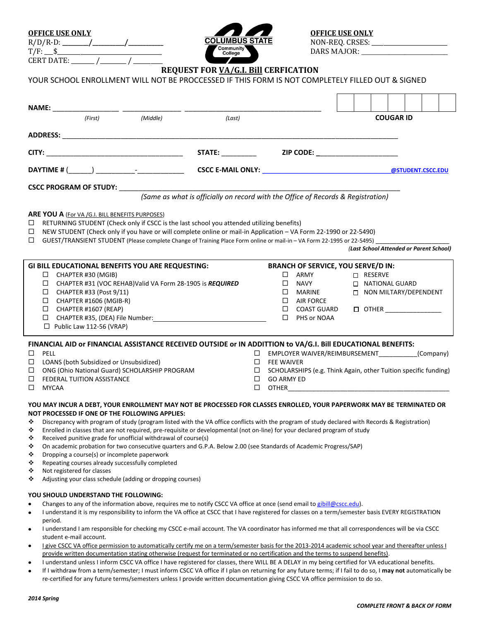| <b>OFFICE USE ONLY</b> |                             | <b>OFFICE USE ONLY</b>                     |
|------------------------|-----------------------------|--------------------------------------------|
| R/D/<br>'R-1           | <b>IIMBUS STATE</b>         | <b>CRSFS</b><br>NON-REO. C<br>GIWD O.<br>_ |
| T/F<br>ሖ<br>- 13       | <b>Community</b><br>College | MAJOR.<br>14 R S                           |



**TORF AND STATE**<br>
Rommunity<br> **RADE AND STATE** 

CERT DATE: \_\_\_\_\_\_ /\_\_\_\_\_\_ / \_\_\_\_\_

# **REQUEST FOR VA/G.I. Bill CERFICATION**

|  | YOUR SCHOOL ENROLLMENT WILL NOT BE PROCCESSED IF THIS FORM IS NOT COMPLETELY FILLED OUT & SIGNED |  |  |  |
|--|--------------------------------------------------------------------------------------------------|--|--|--|
|--|--------------------------------------------------------------------------------------------------|--|--|--|

| NAME: ________________ ________      |                                                                                                                                                                                                                                                                                                                                                                                                                                                                                                                                                                                                                                                                                                                                                                                                                                               |  |                                                                                  |                                 |                                        |                                                                                                                                |                  |                                                               |  |  |  |                                         |  |  |
|--------------------------------------|-----------------------------------------------------------------------------------------------------------------------------------------------------------------------------------------------------------------------------------------------------------------------------------------------------------------------------------------------------------------------------------------------------------------------------------------------------------------------------------------------------------------------------------------------------------------------------------------------------------------------------------------------------------------------------------------------------------------------------------------------------------------------------------------------------------------------------------------------|--|----------------------------------------------------------------------------------|---------------------------------|----------------------------------------|--------------------------------------------------------------------------------------------------------------------------------|------------------|---------------------------------------------------------------|--|--|--|-----------------------------------------|--|--|
| (Middle)<br>(First)<br>(Last)        |                                                                                                                                                                                                                                                                                                                                                                                                                                                                                                                                                                                                                                                                                                                                                                                                                                               |  |                                                                                  |                                 |                                        |                                                                                                                                | <b>COUGAR ID</b> |                                                               |  |  |  |                                         |  |  |
|                                      | ADDRESS: AND THE CONTROL OF THE CONTROL OF THE CONTROL OF THE CONTROL OF THE CONTROL OF THE CONTROL OF THE CONTROL OF THE CONTROL OF THE CONTROL OF THE CONTROL OF THE CONTROL OF THE CONTROL OF THE CONTROL OF THE CONTROL OF                                                                                                                                                                                                                                                                                                                                                                                                                                                                                                                                                                                                                |  |                                                                                  |                                 |                                        |                                                                                                                                |                  |                                                               |  |  |  |                                         |  |  |
|                                      |                                                                                                                                                                                                                                                                                                                                                                                                                                                                                                                                                                                                                                                                                                                                                                                                                                               |  |                                                                                  |                                 |                                        |                                                                                                                                |                  |                                                               |  |  |  |                                         |  |  |
|                                      | CITY:                                                                                                                                                                                                                                                                                                                                                                                                                                                                                                                                                                                                                                                                                                                                                                                                                                         |  | <b>STATE:</b>                                                                    |                                 |                                        | ZIP CODE: ____________________                                                                                                 |                  |                                                               |  |  |  |                                         |  |  |
|                                      |                                                                                                                                                                                                                                                                                                                                                                                                                                                                                                                                                                                                                                                                                                                                                                                                                                               |  |                                                                                  |                                 |                                        |                                                                                                                                |                  |                                                               |  |  |  | @STUDENT.CSCC.EDU                       |  |  |
|                                      | <b>CSCC PROGRAM OF STUDY:</b>                                                                                                                                                                                                                                                                                                                                                                                                                                                                                                                                                                                                                                                                                                                                                                                                                 |  |                                                                                  |                                 |                                        |                                                                                                                                |                  |                                                               |  |  |  |                                         |  |  |
|                                      |                                                                                                                                                                                                                                                                                                                                                                                                                                                                                                                                                                                                                                                                                                                                                                                                                                               |  | (Same as what is officially on record with the Office of Records & Registration) |                                 |                                        |                                                                                                                                |                  |                                                               |  |  |  |                                         |  |  |
| □<br>$\Box$<br>□                     | <b>ARE YOU A (For VA /G.I. BILL BENEFITS PURPOSES)</b><br>RETURNING STUDENT (Check only if CSCC is the last school you attended utilizing benefits)<br>NEW STUDENT (Check only if you have or will complete online or mail-in Application - VA Form 22-1990 or 22-5490)<br>GUEST/TRANSIENT STUDENT (Please complete Change of Training Place Form online or mail-in - VA Form 22-1995 or 22-5495)                                                                                                                                                                                                                                                                                                                                                                                                                                             |  |                                                                                  |                                 |                                        |                                                                                                                                |                  |                                                               |  |  |  | (Last School Attended or Parent School) |  |  |
|                                      | <b>GI BILL EDUCATIONAL BENEFITS YOU ARE REQUESTING:</b><br>□<br>CHAPTER #30 (MGIB)<br>$\Box$ CHAPTER #31 (VOC REHAB) Valid VA Form 28-1905 is REQUIRED<br>$\Box$ CHAPTER #33 (Post 9/11)<br>$\Box$ CHAPTER #1606 (MGIB-R)<br>□<br>CHAPTER #1607 (REAP)<br>CHAPTER #35, (DEA) File Number: National Action of the Mumber of the Second Second Second Second Second Second Second Second Second Second Second Second Second Second Second Second Second Second Second Second Second Second<br>$\Box$<br>$\Box$ Public Law 112-56 (VRAP)                                                                                                                                                                                                                                                                                                         |  |                                                                                  |                                 | $\Box$ ARMY<br>□<br>□                  | <b>BRANCH OF SERVICE, YOU SERVE/D IN:</b><br>$\Box$ NAVY<br>$\square$ MARINE<br>$\Box$ AIR FORCE<br>COAST GUARD<br>PHS or NOAA |                  | □ RESERVE<br><b>D</b> NATIONAL GUARD<br>NON MILTARY/DEPENDENT |  |  |  |                                         |  |  |
| □<br>□<br>□<br>□                     | FINANCIAL AID or FINANCIAL ASSISTANCE RECEIVED OUTSIDE or IN ADDITTION to VA/G.I. Bill EDUCATIONAL BENEFITS:<br>$\square$ PELL<br>LOANS (both Subsidized or Unsubsidized)<br>ONG (Ohio National Guard) SCHOLARSHIP PROGRAM<br>FEDERAL TUITION ASSISTANCE<br><b>MYCAA</b>                                                                                                                                                                                                                                                                                                                                                                                                                                                                                                                                                                      |  |                                                                                  | $\Box$<br>$\Box$<br>$\Box$<br>□ | <b>FEE WAIVER</b><br><b>GO ARMY ED</b> | □ EMPLOYER WAIVER/REIMBURSEMENT<br>SCHOLARSHIPS (e.g. Think Again, other Tuition specific funding)<br><b>OTHER CONSTRUCTER</b> |                  |                                                               |  |  |  | (Company)                               |  |  |
| ❖<br>❖<br>❖<br>❖<br>❖<br>❖<br>❖<br>❖ | YOU MAY INCUR A DEBT, YOUR ENROLLMENT MAY NOT BE PROCESSED FOR CLASSES ENROLLED, YOUR PAPERWORK MAY BE TERMINATED OR<br>NOT PROCESSED IF ONE OF THE FOLLOWING APPLIES:<br>Discrepancy with program of study (program listed with the VA office conflicts with the program of study declared with Records & Registration)<br>Enrolled in classes that are not required, pre-requisite or developmental (not on-line) for your declared program of study<br>Received punitive grade for unofficial withdrawal of course(s)<br>On academic probation for two consecutive quarters and G.P.A. Below 2.00 (see Standards of Academic Progress/SAP)<br>Dropping a course(s) or incomplete paperwork<br>Repeating courses already successfully completed<br>Not registered for classes<br>Adjusting your class schedule (adding or dropping courses) |  |                                                                                  |                                 |                                        |                                                                                                                                |                  |                                                               |  |  |  |                                         |  |  |
| ٠<br>٠<br>٠                          | YOU SHOULD UNDERSTAND THE FOLLOWING:<br>Changes to any of the information above, requires me to notify CSCC VA office at once (send email to gibill@cscc.edu).<br>I understand it is my responsibility to inform the VA office at CSCC that I have registered for classes on a term/semester basis EVERY REGISTRATION<br>period.<br>I understand I am responsible for checking my CSCC e-mail account. The VA coordinator has informed me that all correspondences will be via CSCC<br>student e-mail account.                                                                                                                                                                                                                                                                                                                                |  |                                                                                  |                                 |                                        |                                                                                                                                |                  |                                                               |  |  |  |                                         |  |  |

- I give CSCC VA office permission to automatically certify me on a term/semester basis for the 2013-2014 academic school year and thereafter unless I provide written documentation stating otherwise (request for terminated or no certification and the terms to suspend benefits).
- I understand unless I inform CSCC VA office I have registered for classes, there WILL BE A DELAY in my being certified for VA educational benefits.
- If I withdraw from a term/semester; I must inform CSCC VA office if I plan on returning for any future terms; if I fail to do so, I **may not** automatically be  $\bullet$ re-certified for any future terms/semesters unless I provide written documentation giving CSCC VA office permission to do so.